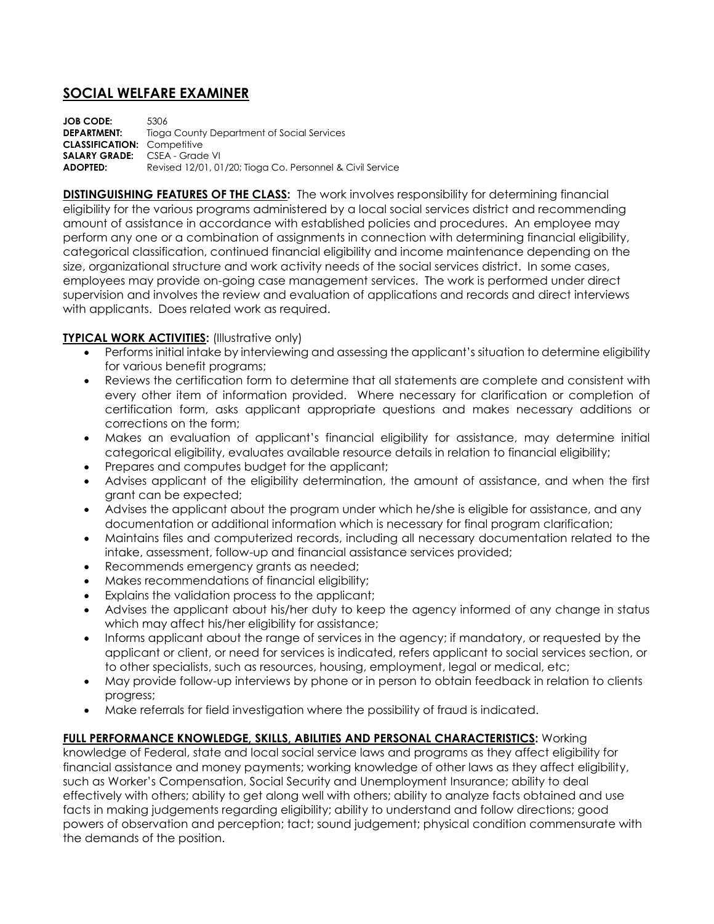## **SOCIAL WELFARE EXAMINER**

**JOB CODE:** 5306 **DEPARTMENT:** Tioga County Department of Social Services **CLASSIFICATION:** Competitive **SALARY GRADE:** CSEA - Grade VI **ADOPTED:** Revised 12/01, 01/20; Tioga Co. Personnel & Civil Service

**DISTINGUISHING FEATURES OF THE CLASS:** The work involves responsibility for determining financial eligibility for the various programs administered by a local social services district and recommending amount of assistance in accordance with established policies and procedures. An employee may perform any one or a combination of assignments in connection with determining financial eligibility, categorical classification, continued financial eligibility and income maintenance depending on the size, organizational structure and work activity needs of the social services district. In some cases, employees may provide on-going case management services. The work is performed under direct supervision and involves the review and evaluation of applications and records and direct interviews with applicants. Does related work as required.

## **TYPICAL WORK ACTIVITIES:** (Illustrative only)

- Performs initial intake by interviewing and assessing the applicant's situation to determine eligibility for various benefit programs;
- Reviews the certification form to determine that all statements are complete and consistent with every other item of information provided. Where necessary for clarification or completion of certification form, asks applicant appropriate questions and makes necessary additions or corrections on the form;
- Makes an evaluation of applicant's financial eligibility for assistance, may determine initial categorical eligibility, evaluates available resource details in relation to financial eligibility;
- Prepares and computes budget for the applicant;
- Advises applicant of the eligibility determination, the amount of assistance, and when the first grant can be expected;
- Advises the applicant about the program under which he/she is eligible for assistance, and any documentation or additional information which is necessary for final program clarification;
- Maintains files and computerized records, including all necessary documentation related to the intake, assessment, follow-up and financial assistance services provided;
- Recommends emergency grants as needed;
- Makes recommendations of financial eligibility;
- Explains the validation process to the applicant;
- Advises the applicant about his/her duty to keep the agency informed of any change in status which may affect his/her eligibility for assistance;
- Informs applicant about the range of services in the agency; if mandatory, or requested by the applicant or client, or need for services is indicated, refers applicant to social services section, or to other specialists, such as resources, housing, employment, legal or medical, etc;
- May provide follow-up interviews by phone or in person to obtain feedback in relation to clients progress;
- Make referrals for field investigation where the possibility of fraud is indicated.

## **FULL PERFORMANCE KNOWLEDGE, SKILLS, ABILITIES AND PERSONAL CHARACTERISTICS:** Working

knowledge of Federal, state and local social service laws and programs as they affect eligibility for financial assistance and money payments; working knowledge of other laws as they affect eligibility, such as Worker's Compensation, Social Security and Unemployment Insurance; ability to deal effectively with others; ability to get along well with others; ability to analyze facts obtained and use facts in making judgements regarding eligibility; ability to understand and follow directions; good powers of observation and perception; tact; sound judgement; physical condition commensurate with the demands of the position.